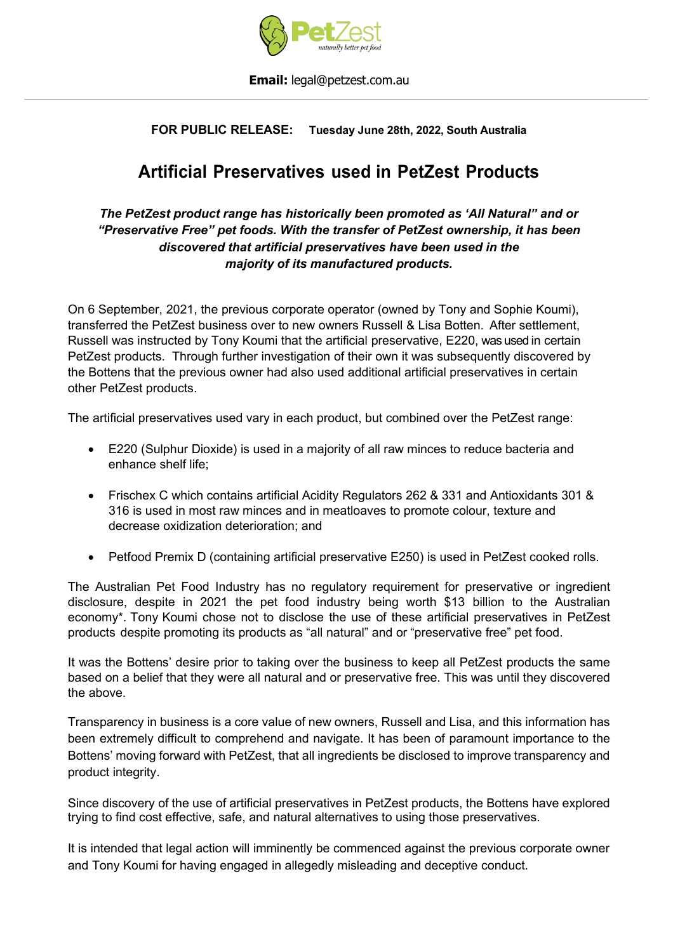

#### **Email:** [legal@petzest.com.au](mailto:legal@petzest.com.au)

### **FOR PUBLIC RELEASE: Tuesday June 28th, 2022, South Australia**

# **Artificial Preservatives used in PetZest Products**

### *The PetZest product range has historically been promoted as 'All Natural" and or "Preservative Free" pet foods. With the transfer of PetZest ownership, it has been discovered that artificial preservatives have been used in the majority of its manufactured products.*

On 6 September, 2021, the previous corporate operator (owned by Tony and Sophie Koumi), transferred the PetZest business over to new owners Russell & Lisa Botten. After settlement, Russell was instructed by Tony Koumi that the artificial preservative, E220, was used in certain PetZest products. Through further investigation of their own it was subsequently discovered by the Bottens that the previous owner had also used additional artificial preservatives in certain other PetZest products.

The artificial preservatives used vary in each product, but combined over the PetZest range:

- E220 (Sulphur Dioxide) is used in a majority of all raw minces to reduce bacteria and enhance shelf life;
- Frischex C which contains artificial Acidity Regulators 262 & 331 and Antioxidants 301 & 316 is used in most raw minces and in meatloaves to promote colour, texture and decrease oxidization deterioration; and
- Petfood Premix D (containing artificial preservative E250) is used in PetZest cooked rolls.

The Australian Pet Food Industry has no regulatory requirement for preservative or ingredient disclosure, despite in 2021 the pet food industry being worth \$13 billion to the Australian economy\*. Tony Koumi chose not to disclose the use of these artificial preservatives in PetZest products despite promoting its products as "all natural" and or "preservative free" pet food.

It was the Bottens' desire prior to taking over the business to keep all PetZest products the same based on a belief that they were all natural and or preservative free. This was until they discovered the above.

Transparency in business is a core value of new owners, Russell and Lisa, and this information has been extremely difficult to comprehend and navigate. It has been of paramount importance to the Bottens' moving forward with PetZest, that all ingredients be disclosed to improve transparency and product integrity.

Since discovery of the use of artificial preservatives in PetZest products, the Bottens have explored trying to find cost effective, safe, and natural alternatives to using those preservatives.

It is intended that legal action will imminently be commenced against the previous corporate owner and Tony Koumi for having engaged in allegedly misleading and deceptive conduct.